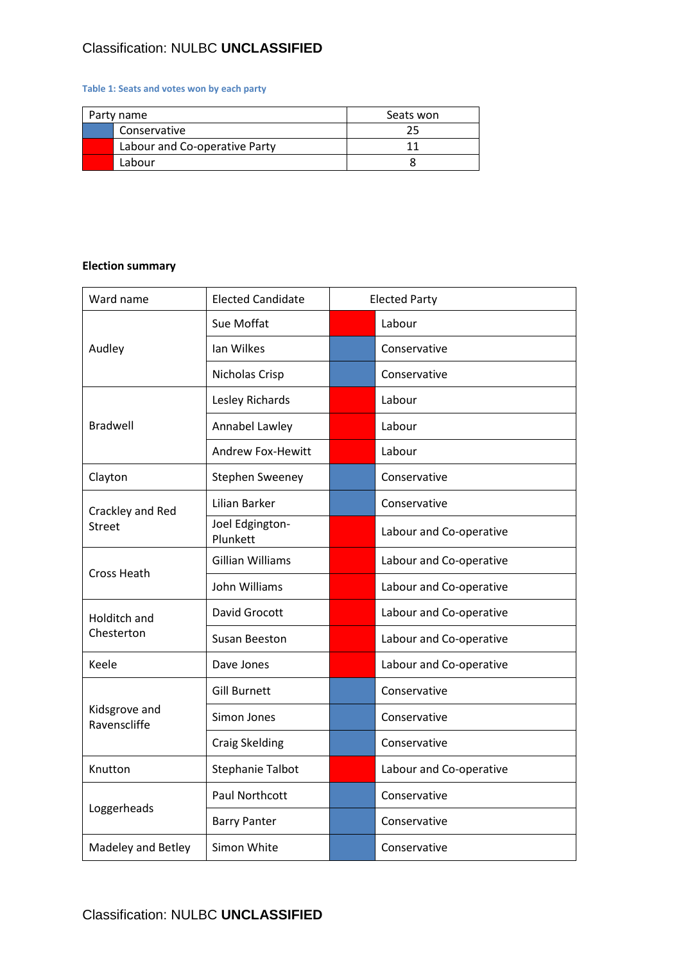## Classification: NULBC **UNCLASSIFIED**

## **Table 1: Seats and votes won by each party**

| Party name |                               | Seats won |
|------------|-------------------------------|-----------|
|            | Conservative                  |           |
|            | Labour and Co-operative Party | 11        |
|            | Labour                        |           |

## **Election summary**

| Ward name                     | <b>Elected Candidate</b>    | <b>Elected Party</b> |                         |
|-------------------------------|-----------------------------|----------------------|-------------------------|
|                               | Sue Moffat                  |                      | Labour                  |
| Audley                        | Ian Wilkes                  |                      | Conservative            |
|                               | Nicholas Crisp              |                      | Conservative            |
|                               | Lesley Richards             |                      | Labour                  |
| <b>Bradwell</b>               | Annabel Lawley              |                      | Labour                  |
|                               | <b>Andrew Fox-Hewitt</b>    |                      | Labour                  |
| Clayton                       | <b>Stephen Sweeney</b>      |                      | Conservative            |
| Crackley and Red              | Lilian Barker               |                      | Conservative            |
| <b>Street</b>                 | Joel Edgington-<br>Plunkett |                      | Labour and Co-operative |
| <b>Cross Heath</b>            | <b>Gillian Williams</b>     |                      | Labour and Co-operative |
|                               | John Williams               |                      | Labour and Co-operative |
| Holditch and                  | David Grocott               |                      | Labour and Co-operative |
| Chesterton                    | Susan Beeston               |                      | Labour and Co-operative |
| Keele                         | Dave Jones                  |                      | Labour and Co-operative |
|                               | <b>Gill Burnett</b>         |                      | Conservative            |
| Kidsgrove and<br>Ravenscliffe | Simon Jones                 |                      | Conservative            |
|                               | <b>Craig Skelding</b>       |                      | Conservative            |
| Knutton                       | <b>Stephanie Talbot</b>     |                      | Labour and Co-operative |
|                               | <b>Paul Northcott</b>       |                      | Conservative            |
| Loggerheads                   | <b>Barry Panter</b>         |                      | Conservative            |
| Madeley and Betley            | Simon White                 |                      | Conservative            |